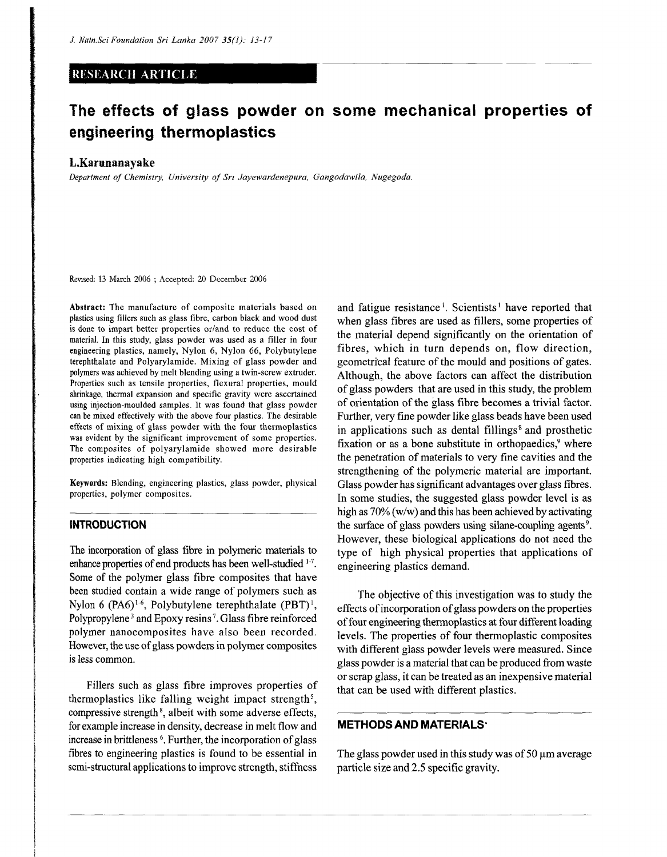#### RESEARCH ARTICLE

# **The effects of glass powder on some mechanical properties of engineering thermoplastics**

#### **L.Karunanayake**

*Department of Chemistry, University of Sri Jayewardenepura, Gangodawila, Nugegoda,* 

Revised: 13 March 2006 ; Accepted: 20 December 2006

**Abstract:** The manufacture of composite materials based on plastics using fillers such as glass fibre, carbon black and wood dust is done to impart better properties or/and to reduce the cost of material. In this study, glass powder was used as a filler in four engineering plastics, namely, Nylon 6, Nylon 66, Polybutylene terephthalate and Polyarylamide. Mixing of glass powder and polymers was achieved by melt blending using a twin-screw extruder. Properties such as tensile properties, flexural properties, mould shrinkage, thermal expansion and specific gravity were ascertained using injection-moulded samples. It was found that glass powder can be mixed effectively with the above four plastics. The desirable effects of mixing of glass powder with the four thermoplastics was evident by the significant improvement of some properties. The composites of polyarylamide showed more desirable properties indicating high compatibility.

Keywords: Blending, engineering plastics, glass powder, physical properties, polymer composites.

### **INTRODUCTION**

The incorporation of glass fibre in polymeric materials to enhance properties of end products has been well-studied<sup>1-7</sup>. Some of the polymer glass fibre composites that have been studied contain a wide range of polymers such as Nylon 6 (PA6)<sup>1-6</sup>, Polybutylene terephthalate  $(PBT)^1$ , Polypropylene<sup>3</sup> and Epoxy resins<sup>7</sup>. Glass fibre reinforced polymer nanocomposites have also been recorded. However, the use of glass powders in polymer composites is less common.

Fillers such as glass fibre improves properties of thermoplastics like falling weight impact strength<sup>5</sup>, compressive strength<sup>8</sup>, albeit with some adverse effects, for example increase in density, decrease in melt flow and increase in brittleness<sup>6</sup>. Further, the incorporation of glass fibres to engineering plastics is found to be essential in semi-structural applications to improve strength, stiffness

and fatigue resistance<sup>1</sup>. Scientists<sup>1</sup> have reported that when glass fibres are used as fillers, some properties of the material depend significantly on the orientation of fibres, which in turn depends on, flow direction, geometrical feature of the mould and positions of gates. Although, the above factors can affect the distribution of glass powders that are used in this study, the problem of orientation of the glass fibre becomes a trivial factor. Further, very fine powder like glass beads have been used in applications such as dental fillings<sup>8</sup> and prosthetic fixation or as a bone substitute in orthopaedics,<sup>9</sup> where the penetration of materials to very fine cavities and the strengthening of the polymeric material are important. Glass powder has significant advantages over glass fibres. In some studies, the suggested glass powder level is as high as 70% (w/w) and this has been achieved by activating the surface of glass powders using silane-coupling agents<sup>9</sup>. However, these biological applications do not need the type of high physical properties that applications of engineering plastics demand.

The objective of this investigation was to study the effects of incorporation of glass powders on the properties of four engineering thermoplastics at four different loading levels. The properties of four thermoplastic composites with different glass powder levels were measured. Since glass powder is a material that can be produced from waste or scrap glass, it can be treated as an inexpensive material that can be used with different plastics.

#### **METHODS AND MATERIALS**

The glass powder used in this study was of 50  $\mu$ m average particle size and 2.5 specific gravity.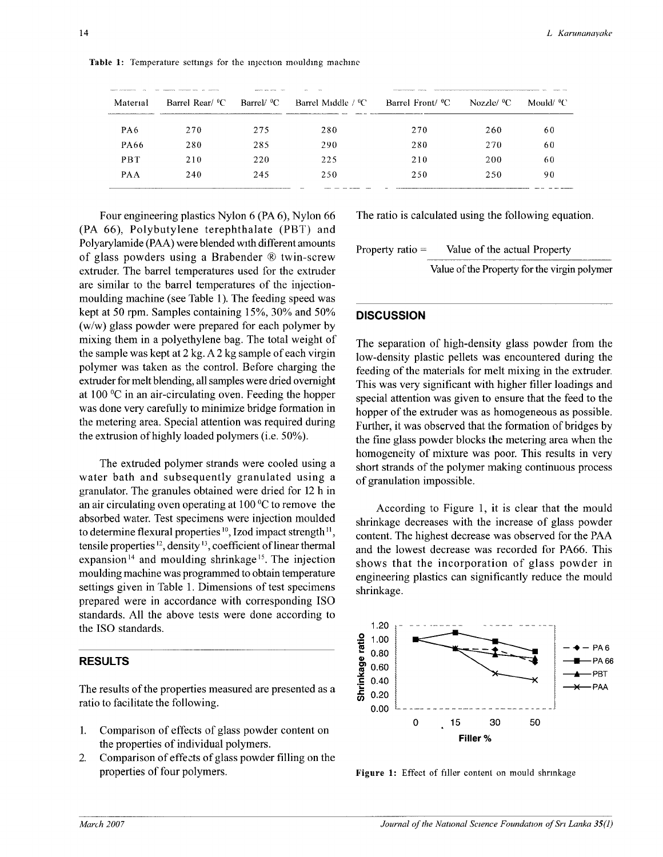| Material   | ___________<br>Barrel Rear/ <sup>o</sup> C | - Barrel/ <sup>9</sup> C | Barrel Middle / <sup>9</sup> C | Barrel Front/ <sup>o</sup> C | Nozzle/ <sup>0</sup> C | Mould/ % |
|------------|--------------------------------------------|--------------------------|--------------------------------|------------------------------|------------------------|----------|
| PA6        | 270                                        | 275                      | 280                            | 270                          | 260                    | 60       |
| PA66       | 280                                        | 285                      | 290                            | 280                          | 270                    | 60       |
| <b>PBT</b> | 210                                        | 220                      | 225                            | 210                          | 200                    | 60       |
| <b>PAA</b> | 240                                        | 245                      | 250                            | 250                          | 250                    | 90       |
|            |                                            |                          |                                |                              |                        |          |

**Table 1:** Temperature settings for the injection moulding machine

Four engineering plastics Nylon 6 (PA 6), Nylon 66 (PA *66\* Polybutylene terephthalate (PBT) and Polyarylamide (PAA) were blended with different amounts of glass powders using a Brabender ® twin-screw extruder. The barrel temperatures used for the extruder are similar to the barrel temperatures of the injectionmoulding machine (see Table 1). The feeding speed was kept at 50 rpm. Samples containing 15%, 30% and 50% (w/w) glass powder were prepared for each polymer by mixing them in a polyethylene bag. The total weight of the sample was kept at 2 kg. A 2 kg sample of each virgin polymer was taken as the control. Before charging the extruder for melt blending, all samples were dried overnight at 100 °C in an air-circulating oven. Feeding the hopper was done very carefully to minimize bridge formation in the metering area. Special attention was required during the extrusion of highly loaded polymers (i.e. 50%).

The extruded polymer strands were cooled using a water bath and subsequently granulated using a granulator. The granules obtained were dried for 12 h in an air circulating oven operating at 100 °C to remove the absorbed water. Test specimens were injection moulded to determine flexural properties<sup>10</sup>, Izod impact strength<sup>11</sup>, tensile properties<sup>12</sup>, density<sup>13</sup>, coefficient of linear thermal expansion<sup>14</sup> and moulding shrinkage<sup>15</sup>. The injection moulding machine was programmed to obtain temperature settings given in Table 1. Dimensions of test specimens prepared were in accordance with corresponding ISO standards. All the above tests were done according to the ISO standards.

### RESULTS

The results of the properties measured are presented as a ratio to facilitate the following.

- 1. Comparison of effects of glass powder content on the properties of individual polymers.
- 2. Comparison of effects of glass powder filling on the properties of four polymers.

The ratio is calculated using the following equation.

Property ratio = Value of the actual Property

Value of the Property for the virgin polymer

# **DISCUSSION**

The separation of high-density glass powder from the low-density plastic pellets was encountered during the feeding of the materials for melt mixing in the extruder. This was very significant with higher filler loadings and special attention was given to ensure that the feed to the hopper of the extruder was as homogeneous as possible. Further, it was observed that the formation of bridges by the fine glass powder blocks the metering area when the homogeneity of mixture was poor. This results in very short strands of the polymer making continuous process of granulation impossible.

According to Figure 1, it is clear that the mould shrinkage decreases with the increase of glass powder content. The highest decrease was observed for the PAA and the lowest decrease was recorded for PA66. This shows that the incorporation of glass powder in engineering plastics can significantly reduce the mould shrinkage.



**Figure 1:** Effect of filler content on mould shrinkage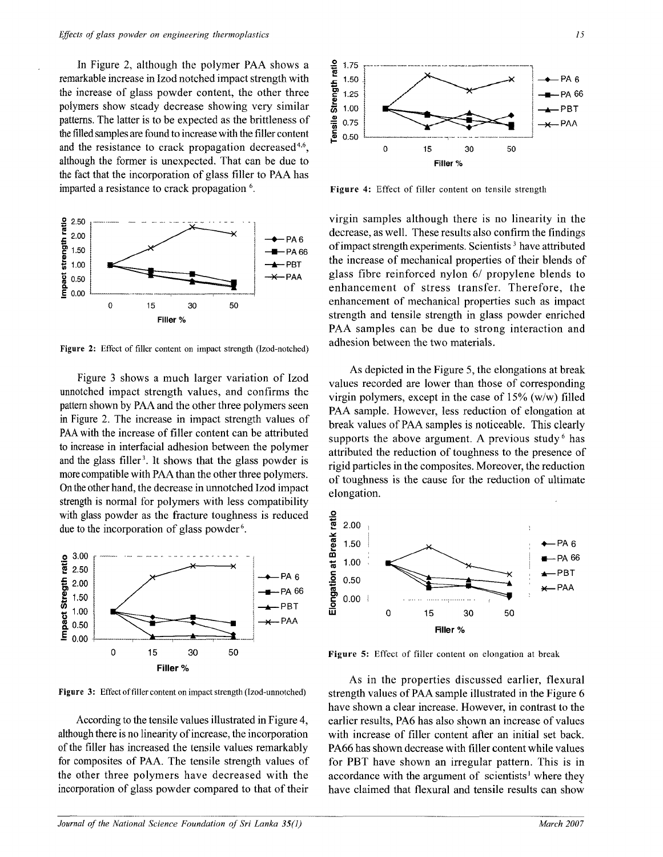In Figure 2, although the polymer PAA shows a remarkable increase in Izod notched impact strength with the increase of glass powder content, the other three polymers show steady decrease showing very similar patterns. The latter is to be expected as the brittleness of die filled samples are found to increase with the filler content and the resistance to crack propagation decreased<sup>4,6</sup>, although the former is unexpected. That can be due to the fact that the incorporation of glass filler to PAA has imparted a resistance to crack propagation<sup>6</sup>.



**Figure 2:** Effect of filler content on impact strength (Izod-notched)

Figure 3 shows a much larger variation of Izod unnotched impact strength values, and confirms the pattern shown by PAA and the other three polymers seen in Figure 2. The increase in impact strength values of PAA with the increase of filler content can be attributed to increase in interfacial adhesion between the polymer and the glass filler<sup>3</sup>. It shows that the glass powder is more compatible with PAA than the other three polymers. On the other hand, the decrease in unnotched Izod impact strength is normal for polymers with less compatibility with glass powder as the fracture toughness is reduced due to the incorporation of glass powder<sup>6</sup>.



**Figure 3:** Effect of filler content on impact strength (Izod-unnotched)

According to the tensile values illustrated in Figure 4, although there is no linearity of increase, the incorporation of the filler has increased the tensile values remarkably for composites of PAA. The tensile strength values of the other three polymers have decreased with the incorporation of glass powder compared to that of their



**Figure 4:** Effect of filler content on tensile strength

virgin samples although there is no linearity in the decrease, as well. These results also confirm the findings of impact strength experiments. Scientists<sup>3</sup> have attributed the increase of mechanical properties of their blends of glass fibre reinforced nylon 6/ propylene blends to enhancement of stress transfer. Therefore, the enhancement of mechanical properties such as impact strength and tensile strength in glass powder enriched PAA samples can be due to strong interaction and adhesion between the two materials.

As depicted in the Figure 5, the elongations at break values recorded are lower than those of corresponding virgin polymers, except in the case of 15% (w/w) filled PAA sample. However, less reduction of elongation at break values of PAA samples is noticeable. This clearly supports the above argument. A previous study  $6$  has attributed the reduction of toughness to the presence of rigid particles in the composites. Moreover, the reduction of toughness is the cause for the reduction of ultimate elongation.



**Figure 5:** Effect of filler content on elongation at break

As in the properties discussed earlier, flexural strength values of PAA sample illustrated in the Figure 6 have shown a clear increase. However, in contrast to the earlier results, PA6 has also shown an increase of values with increase of filler content after an initial set back. PA66 has shown decrease with filler content while values for PBT have shown an irregular pattern. This is in accordance with the argument of scientists' where they have claimed that flexural and tensile results can show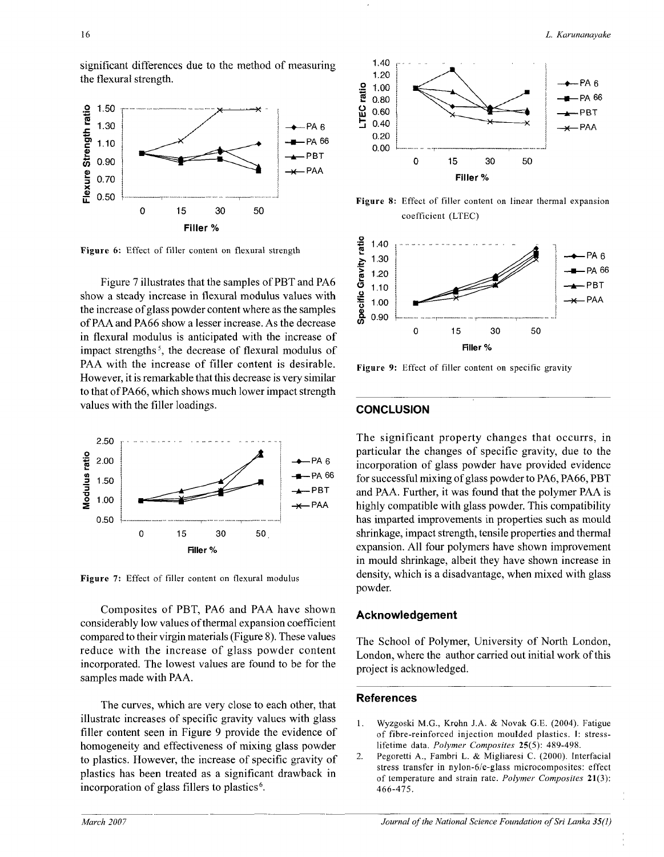significant differences due to the method of measuring the flexural strength.



**Figure 6:** Effect of filler content on flexural strength

Figure 7 illustrates that the samples of PBT and PA6 show a steady increase in flexural modulus values with the increase of glass powder content where as the samples of PAA and PA66 show a lesser increase. As the decrease in flexural modulus is anticipated with the increase of impact strengths<sup>5</sup>, the decrease of flexural modulus of PAA with the increase of filler content is desirable. However, it is remarkable that this decrease is very similar to that of PA66, which shows much lower impact strength values with the filler loadings.



**Figure** 7: Effect of filler content on flexural modulus

Composites of PBT, PA6 and PAA have shown considerably low values of thermal expansion coefficient compared to their virgin materials (Figure 8). These values reduce with the increase of glass powder content incorporated. The lowest values are found to be for the samples made with PAA.

The curves, which are very close to each other, that illustrate increases of specific gravity values with glass filler content seen in Figure 9 provide the evidence of homogeneity and effectiveness of mixing glass powder to plastics. However, the increase of specific gravity of plastics has been treated as a significant drawback in .<br>incorporation of glass fillers to plastics<sup>6</sup>.



**Figure 8:** Effect of filler content on linear thermal expansion coefficient (LTEC)



**Figure 9:** Effect of filler content on specific gravity

## **CONCLUSION**

The significant property changes that occurrs, in particular the changes of specific gravity, due to the incorporation of glass powder have provided evidence for successful mixing of glass powder to PA6, PA66, PBT and PAA. Further, it was found that the polymer PAA is highly compatible with glass powder. This compatibility has imparted improvements in properties such as mould shrinkage, impact strength, tensile properties and thermal expansion. All four polymers have shown improvement in mould shrinkage, albeit they have shown increase in density, which is a disadvantage, when mixed with glass powder.

#### Acknowledgement

The School of Polymer, University of North London, London, where the author carried out initial work of this project is acknowledged.

#### References

- 1. Wyzgoski M.G., Krohn J.A. & Novak G.E. (2004). Fatigue of fibre-reinforced injection moulded plastics. I: stresslifetime data. *Polymer Composites* 25(5): 489-498.
- 2. Pegoretti A., Fambri L. & Migliaresi C. (2000). Interfacial stress transfer in nylon-6/e-glass microcomposites: effect of temperature and strain rate. *Polymer Composites* **21(3):**  466-475.